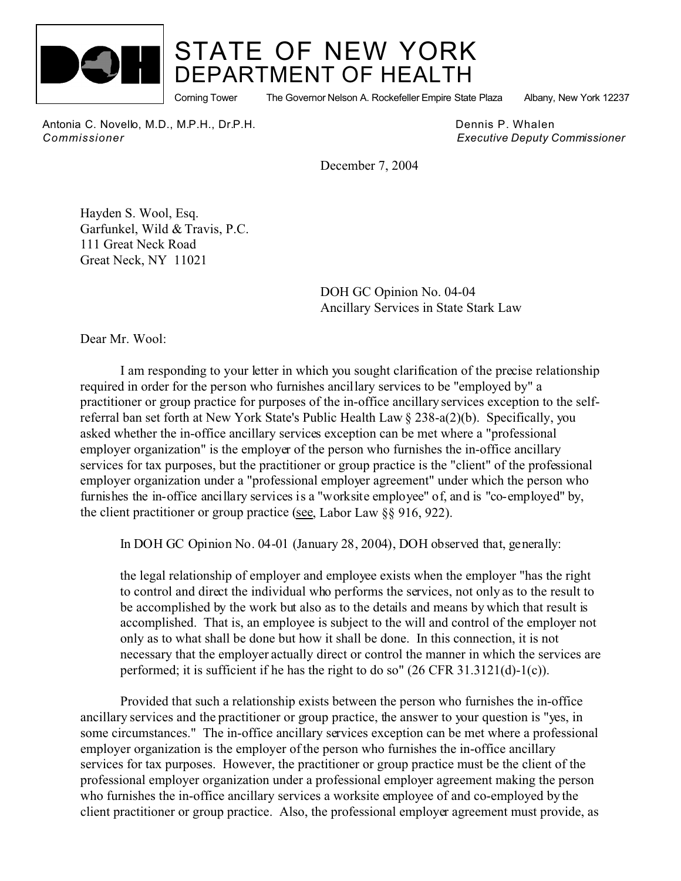

## STATE OF NEW YORK DEPARTMENT OF HEALTH

Corning Tower The Governor Nelson A. Rockefeller Empire State Plaza Albany, New York 12237

Antonia C. Novello, M.D., M.P.H., Dr.P.H. **Dennis P. Whalen** Dennis P. Whalen *Commissioner Executive Deputy Commissioner*

December 7, 2004

Hayden S. Wool, Esq. Garfunkel, Wild & Travis, P.C. 111 Great Neck Road Great Neck, NY 11021

> DOH GC Opinion No. 04-04 Ancillary Services in State Stark Law

Dear Mr. Wool:

I am responding to your letter in which you sought clarification of the precise relationship required in order for the person who furnishes ancillary services to be "employed by" a practitioner or group practice for purposes of the in-office ancillary services exception to the selfreferral ban set forth at New York State's Public Health Law § 238-a(2)(b). Specifically, you asked whether the in-office ancillary services exception can be met where a "professional employer organization" is the employer of the person who furnishes the in-office ancillary services for tax purposes, but the practitioner or group practice is the "client" of the professional employer organization under a "professional employer agreement" under which the person who furnishes the in-office ancillary services is a "worksite employee" of, and is "co-employed" by, the client practitioner or group practice (see, Labor Law §§ 916, 922).

In DOH GC Opinion No. 04-01 (January 28, 2004), DOH observed that, generally:

the legal relationship of employer and employee exists when the employer "has the right to control and direct the individual who performs the services, not only as to the result to be accomplished by the work but also as to the details and means by which that result is accomplished. That is, an employee is subject to the will and control of the employer not only as to what shall be done but how it shall be done. In this connection, it is not necessary that the employer actually direct or control the manner in which the services are performed; it is sufficient if he has the right to do so" (26 CFR 31.3121(d)-1(c)).

Provided that such a relationship exists between the person who furnishes the in-office ancillary services and the practitioner or group practice, the answer to your question is "yes, in some circumstances." The in-office ancillary services exception can be met where a professional employer organization is the employer of the person who furnishes the in-office ancillary services for tax purposes. However, the practitioner or group practice must be the client of the professional employer organization under a professional employer agreement making the person who furnishes the in-office ancillary services a worksite employee of and co-employed by the client practitioner or group practice. Also, the professional employer agreement must provide, as